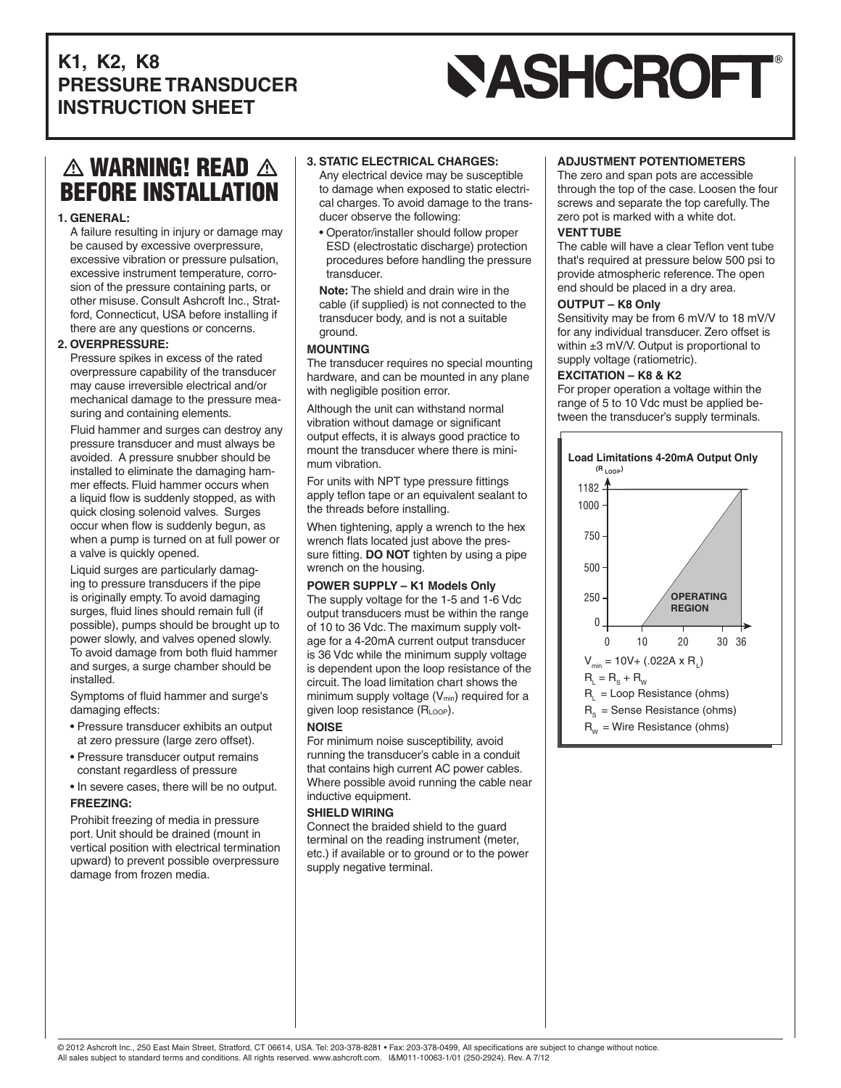## **K1, K2, K8 PRESSURE TRANSDUCER INSTRUCTION SHEET**

# **SASHCROFT®**

# $\triangle$  warning! Read  $\triangle$ BEFORE INSTALLATION

#### **1. GENERAL:**

A failure resulting in injury or damage may be caused by excessive overpressure, excessive vibration or pressure pulsation, excessive instrument temperature, corrosion of the pressure containing parts, or other misuse. Consult Ashcroft Inc., Stratford, Connecticut, USA before installing if there are any questions or concerns.

#### **2. OVERPRESSURE:**

Pressure spikes in excess of the rated overpressure capability of the transducer may cause irreversible electrical and/or mechanical damage to the pressure measuring and containing elements.

Fluid hammer and surges can destroy any pressure transducer and must always be avoided. A pressure snubber should be installed to eliminate the damaging hammer effects. Fluid hammer occurs when a liquid flow is suddenly stopped, as with quick closing solenoid valves. Surges occur when flow is suddenly begun, as when a pump is turned on at full power or a valve is quickly opened.

Liquid surges are particularly damaging to pressure transducers if the pipe is originally empty. To avoid damaging surges, fluid lines should remain full (if possible), pumps should be brought up to power slowly, and valves opened slowly. To avoid damage from both fluid hammer and surges, a surge chamber should be installed.

Symptoms of fluid hammer and surge's damaging effects:

- Pressure transducer exhibits an output at zero pressure (large zero offset).
- Pressure transducer output remains constant regardless of pressure
- In severe cases, there will be no output. **FREEZING:**

Prohibit freezing of media in pressure port. Unit should be drained (mount in vertical position with electrical termination upward) to prevent possible overpressure damage from frozen media.

#### **3. STATIC ELECTRICAL CHARGES:**

Any electrical device may be susceptible to damage when exposed to static electrical charges. To avoid damage to the transducer observe the following:

- Operator/installer should follow proper ESD (electrostatic discharge) protection procedures before handling the pressure transducer.
- **Note:** The shield and drain wire in the cable (if supplied) is not connected to the transducer body, and is not a suitable ground.

#### **MOUNTING**

The transducer requires no special mounting hardware, and can be mounted in any plane with negligible position error.

Although the unit can withstand normal vibration without damage or significant output effects, it is always good practice to mount the transducer where there is minimum vibration.

For units with NPT type pressure fittings apply teflon tape or an equivalent sealant to the threads before installing.

When tightening, apply a wrench to the hex wrench flats located just above the pressure fitting. **DO NOT** tighten by using a pipe wrench on the housing.

#### **POWER SUPPLY – K1 Models Only**

The supply voltage for the 1-5 and 1-6 Vdc output transducers must be within the range of 10 to 36 Vdc. The maximum supply voltage for a 4-20mA current output transducer is 36 Vdc while the minimum supply voltage is dependent upon the loop resistance of the circuit. The load limitation chart shows the minimum supply voltage  $(V_{min})$  required for a given loop resistance (RLOOP).

#### **NOISE**

For minimum noise susceptibility, avoid running the transducer's cable in a conduit that contains high current AC power cables. Where possible avoid running the cable near inductive equipment.

#### **SHIELD WIRING**

Connect the braided shield to the guard terminal on the reading instrument (meter, etc.) if available or to ground or to the power supply negative terminal.

#### **ADJUSTMENT POTENTIOMETERS**

The zero and span pots are accessible through the top of the case. Loosen the four screws and separate the top carefully. The zero pot is marked with a white dot.

#### **VENT TUBE**

The cable will have a clear Teflon vent tube that's required at pressure below 500 psi to provide atmospheric reference. The open end should be placed in a dry area.

#### **OUTPUT – K8 Only**

Sensitivity may be from 6 mV/V to 18 mV/V for any individual transducer. Zero offset is within ±3 mV/V. Output is proportional to supply voltage (ratiometric).

#### **EXCITATION – K8 & K2**

For proper operation a voltage within the range of 5 to 10 Vdc must be applied between the transducer's supply terminals.